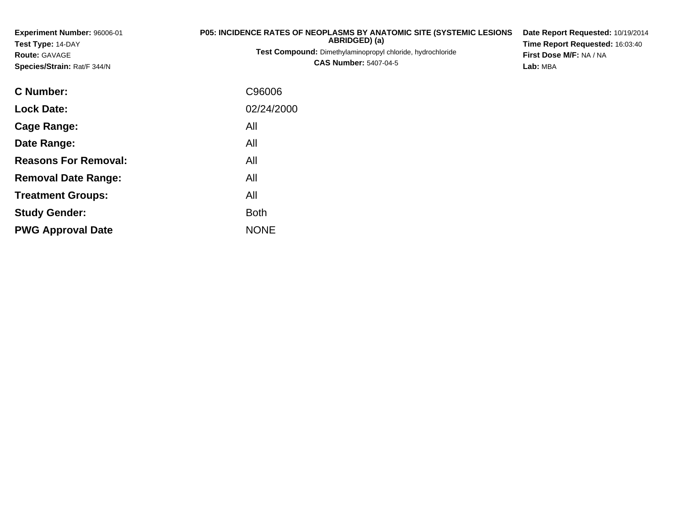| Experiment Number: 96006-01<br>Test Type: 14-DAY<br>Route: GAVAGE<br>Species/Strain: Rat/F 344/N | P05: INCIDENCE RATES OF NEOPLASMS BY ANATOMIC SITE (SYSTEMIC LESIONS<br>ABRIDGED) (a)<br>Test Compound: Dimethylaminopropyl chloride, hydrochloride<br><b>CAS Number: 5407-04-5</b> | Date Report Requested: 10/19/2014<br>Time Report Requested: 16:03:40<br>First Dose M/F: NA / NA<br>Lab: MBA |
|--------------------------------------------------------------------------------------------------|-------------------------------------------------------------------------------------------------------------------------------------------------------------------------------------|-------------------------------------------------------------------------------------------------------------|
| <b>C Number:</b>                                                                                 | C96006                                                                                                                                                                              |                                                                                                             |
| <b>Lock Date:</b>                                                                                | 02/24/2000                                                                                                                                                                          |                                                                                                             |
| Cage Range:                                                                                      | All                                                                                                                                                                                 |                                                                                                             |
| Date Range:                                                                                      | All                                                                                                                                                                                 |                                                                                                             |

**Reasons For Removal:**

**Removal Date Range:**

**Treatment Groups:**

**PWG Approval Date**

**Study Gender:**

All

: All

e NONE

Both

All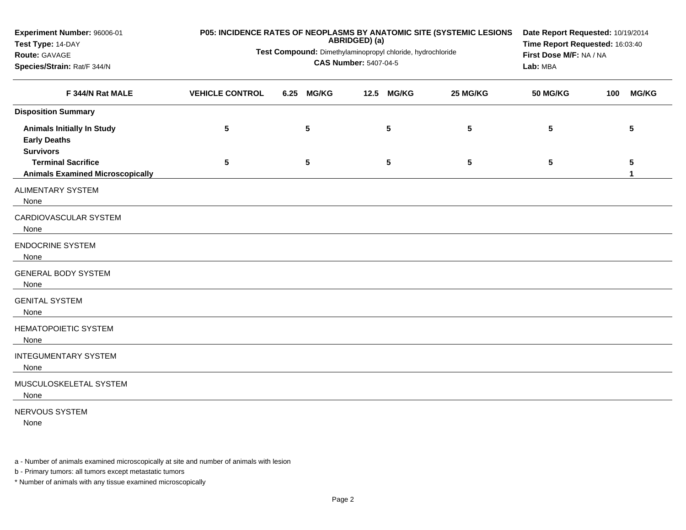| Experiment Number: 96006-01<br>Test Type: 14-DAY                             |                                                            | P05: INCIDENCE RATES OF NEOPLASMS BY ANATOMIC SITE (SYSTEMIC LESIONS<br>ABRIDGED) (a) |                        |              |          |                 |     |              |
|------------------------------------------------------------------------------|------------------------------------------------------------|---------------------------------------------------------------------------------------|------------------------|--------------|----------|-----------------|-----|--------------|
| Route: GAVAGE                                                                | Test Compound: Dimethylaminopropyl chloride, hydrochloride | Time Report Requested: 16:03:40<br>First Dose M/F: NA / NA                            |                        |              |          |                 |     |              |
| Species/Strain: Rat/F 344/N                                                  |                                                            | Lab: MBA                                                                              |                        |              |          |                 |     |              |
| F 344/N Rat MALE                                                             | <b>VEHICLE CONTROL</b>                                     | 6.25                                                                                  | <b>MG/KG</b><br>$12.5$ | <b>MG/KG</b> | 25 MG/KG | <b>50 MG/KG</b> | 100 | <b>MG/KG</b> |
| <b>Disposition Summary</b>                                                   |                                                            |                                                                                       |                        |              |          |                 |     |              |
| <b>Animals Initially In Study</b><br><b>Early Deaths</b><br><b>Survivors</b> | 5                                                          | 5                                                                                     |                        | 5            | 5        | 5               |     | 5            |
| <b>Terminal Sacrifice</b><br><b>Animals Examined Microscopically</b>         | 5                                                          | 5                                                                                     |                        | 5            | 5        | 5               |     | 5            |
| ALIMENTARY SYSTEM<br>None                                                    |                                                            |                                                                                       |                        |              |          |                 |     |              |
| CARDIOVASCULAR SYSTEM<br>None                                                |                                                            |                                                                                       |                        |              |          |                 |     |              |
| <b>ENDOCRINE SYSTEM</b><br>None                                              |                                                            |                                                                                       |                        |              |          |                 |     |              |
| <b>GENERAL BODY SYSTEM</b><br>None                                           |                                                            |                                                                                       |                        |              |          |                 |     |              |
| <b>GENITAL SYSTEM</b><br>None                                                |                                                            |                                                                                       |                        |              |          |                 |     |              |
| <b>HEMATOPOIETIC SYSTEM</b><br>None                                          |                                                            |                                                                                       |                        |              |          |                 |     |              |
| <b>INTEGUMENTARY SYSTEM</b><br>None                                          |                                                            |                                                                                       |                        |              |          |                 |     |              |
| MUSCULOSKELETAL SYSTEM<br>None                                               |                                                            |                                                                                       |                        |              |          |                 |     |              |
| NERVOUS SYSTEM                                                               |                                                            |                                                                                       |                        |              |          |                 |     |              |

None

a - Number of animals examined microscopically at site and number of animals with lesion

b - Primary tumors: all tumors except metastatic tumors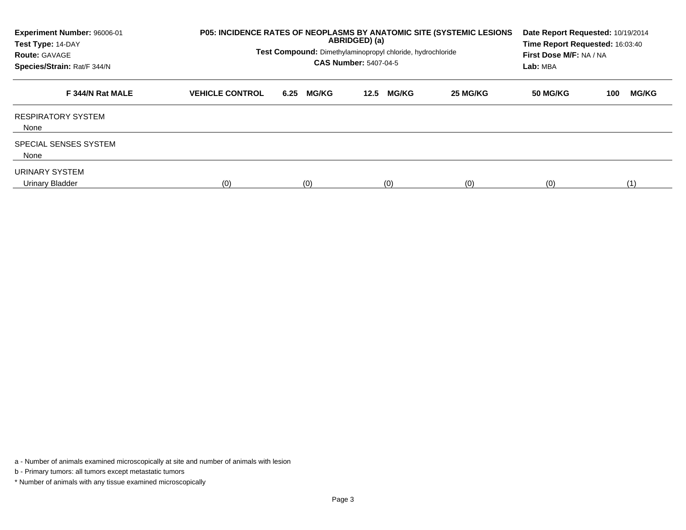| Experiment Number: 96006-01<br>Test Type: 14-DAY<br><b>Route: GAVAGE</b><br>Species/Strain: Rat/F 344/N | <b>P05: INCIDENCE RATES OF NEOPLASMS BY ANATOMIC SITE (SYSTEMIC LESIONS</b><br>Test Compound: Dimethylaminopropyl chloride, hydrochloride | Date Report Requested: 10/19/2014<br>Time Report Requested: 16:03:40<br>First Dose M/F: NA / NA<br>Lab: MBA |                      |          |          |                     |
|---------------------------------------------------------------------------------------------------------|-------------------------------------------------------------------------------------------------------------------------------------------|-------------------------------------------------------------------------------------------------------------|----------------------|----------|----------|---------------------|
| F 344/N Rat MALE                                                                                        | <b>VEHICLE CONTROL</b>                                                                                                                    | <b>MG/KG</b><br>6.25                                                                                        | <b>MG/KG</b><br>12.5 | 25 MG/KG | 50 MG/KG | <b>MG/KG</b><br>100 |
| <b>RESPIRATORY SYSTEM</b><br>None                                                                       |                                                                                                                                           |                                                                                                             |                      |          |          |                     |
| <b>SPECIAL SENSES SYSTEM</b><br>None                                                                    |                                                                                                                                           |                                                                                                             |                      |          |          |                     |
| URINARY SYSTEM<br>Urinary Bladder                                                                       | (0)                                                                                                                                       | (0)                                                                                                         | (0)                  | (0)      | (0)      | (1)                 |

a - Number of animals examined microscopically at site and number of animals with lesion

b - Primary tumors: all tumors except metastatic tumors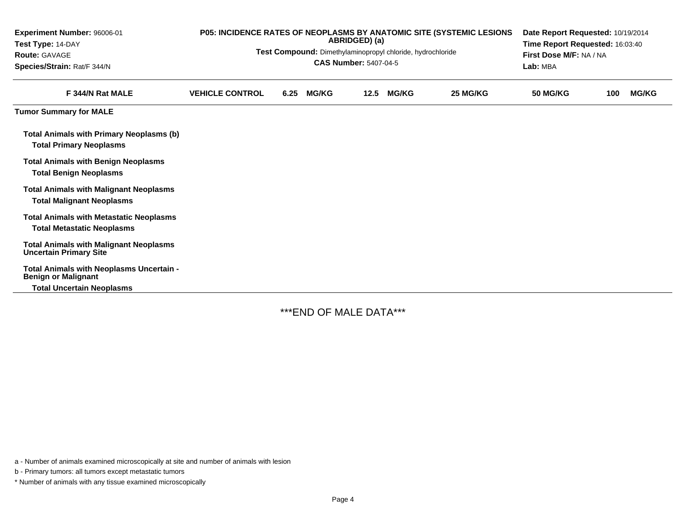| Experiment Number: 96006-01<br>Test Type: 14-DAY<br><b>Route: GAVAGE</b><br>Species/Strain: Rat/F 344/N    | P05: INCIDENCE RATES OF NEOPLASMS BY ANATOMIC SITE (SYSTEMIC LESIONS<br>ABRIDGED) (a)<br>Test Compound: Dimethylaminopropyl chloride, hydrochloride<br><b>CAS Number: 5407-04-5</b> |      |              |      |              |          |                 | Date Report Requested: 10/19/2014<br>Time Report Requested: 16:03:40<br>First Dose M/F: NA / NA<br>Lab: MBA |              |  |  |
|------------------------------------------------------------------------------------------------------------|-------------------------------------------------------------------------------------------------------------------------------------------------------------------------------------|------|--------------|------|--------------|----------|-----------------|-------------------------------------------------------------------------------------------------------------|--------------|--|--|
| F 344/N Rat MALE                                                                                           | <b>VEHICLE CONTROL</b>                                                                                                                                                              | 6.25 | <b>MG/KG</b> | 12.5 | <b>MG/KG</b> | 25 MG/KG | <b>50 MG/KG</b> | 100                                                                                                         | <b>MG/KG</b> |  |  |
| <b>Tumor Summary for MALE</b>                                                                              |                                                                                                                                                                                     |      |              |      |              |          |                 |                                                                                                             |              |  |  |
| Total Animals with Primary Neoplasms (b)<br><b>Total Primary Neoplasms</b>                                 |                                                                                                                                                                                     |      |              |      |              |          |                 |                                                                                                             |              |  |  |
| <b>Total Animals with Benign Neoplasms</b><br><b>Total Benign Neoplasms</b>                                |                                                                                                                                                                                     |      |              |      |              |          |                 |                                                                                                             |              |  |  |
| <b>Total Animals with Malignant Neoplasms</b><br><b>Total Malignant Neoplasms</b>                          |                                                                                                                                                                                     |      |              |      |              |          |                 |                                                                                                             |              |  |  |
| <b>Total Animals with Metastatic Neoplasms</b><br><b>Total Metastatic Neoplasms</b>                        |                                                                                                                                                                                     |      |              |      |              |          |                 |                                                                                                             |              |  |  |
| <b>Total Animals with Malignant Neoplasms</b><br><b>Uncertain Primary Site</b>                             |                                                                                                                                                                                     |      |              |      |              |          |                 |                                                                                                             |              |  |  |
| Total Animals with Neoplasms Uncertain -<br><b>Benign or Malignant</b><br><b>Total Uncertain Neoplasms</b> |                                                                                                                                                                                     |      |              |      |              |          |                 |                                                                                                             |              |  |  |

-

\*\*\*END OF MALE DATA\*\*\*

a - Number of animals examined microscopically at site and number of animals with lesion

b - Primary tumors: all tumors except metastatic tumors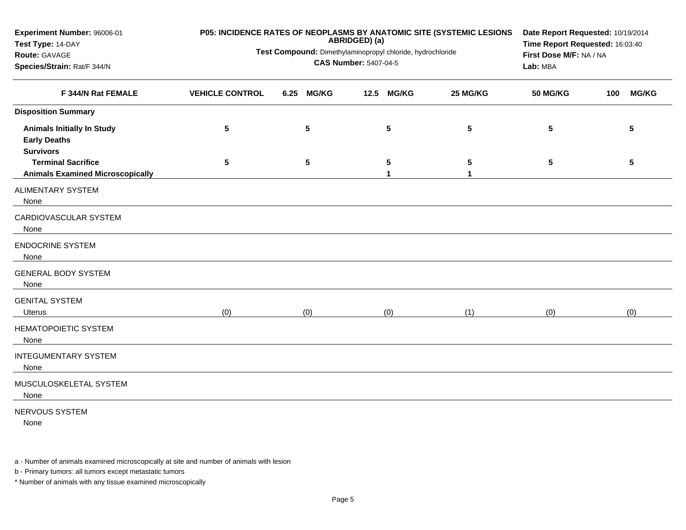| Experiment Number: 96006-01<br>Test Type: 14-DAY<br>Route: GAVAGE            | P05: INCIDENCE RATES OF NEOPLASMS BY ANATOMIC SITE (SYSTEMIC LESIONS<br>Test Compound: Dimethylaminopropyl chloride, hydrochloride | Date Report Requested: 10/19/2014<br>Time Report Requested: 16:03:40<br>First Dose M/F: NA / NA |                      |                 |                 |                     |
|------------------------------------------------------------------------------|------------------------------------------------------------------------------------------------------------------------------------|-------------------------------------------------------------------------------------------------|----------------------|-----------------|-----------------|---------------------|
| Species/Strain: Rat/F 344/N                                                  |                                                                                                                                    |                                                                                                 | Lab: MBA             |                 |                 |                     |
| F 344/N Rat FEMALE                                                           | <b>VEHICLE CONTROL</b>                                                                                                             | 6.25<br><b>MG/KG</b>                                                                            | 12.5<br><b>MG/KG</b> | 25 MG/KG        | <b>50 MG/KG</b> | <b>MG/KG</b><br>100 |
| <b>Disposition Summary</b>                                                   |                                                                                                                                    |                                                                                                 |                      |                 |                 |                     |
| <b>Animals Initially In Study</b><br><b>Early Deaths</b><br><b>Survivors</b> | $5\phantom{.0}$                                                                                                                    | ${\bf 5}$                                                                                       | $5\phantom{.0}$      | $5\phantom{.0}$ | $5\phantom{.0}$ | 5                   |
| <b>Terminal Sacrifice</b><br><b>Animals Examined Microscopically</b>         | $5\phantom{.0}$                                                                                                                    | $5\phantom{.0}$                                                                                 | 5<br>1               | 5<br>1          | 5               | 5                   |
| <b>ALIMENTARY SYSTEM</b><br>None                                             |                                                                                                                                    |                                                                                                 |                      |                 |                 |                     |
| CARDIOVASCULAR SYSTEM<br>None                                                |                                                                                                                                    |                                                                                                 |                      |                 |                 |                     |
| <b>ENDOCRINE SYSTEM</b><br>None                                              |                                                                                                                                    |                                                                                                 |                      |                 |                 |                     |
| <b>GENERAL BODY SYSTEM</b><br>None                                           |                                                                                                                                    |                                                                                                 |                      |                 |                 |                     |
| <b>GENITAL SYSTEM</b><br><b>Uterus</b>                                       | (0)                                                                                                                                | (0)                                                                                             | (0)                  | (1)             | (0)             | (0)                 |
| <b>HEMATOPOIETIC SYSTEM</b><br>None                                          |                                                                                                                                    |                                                                                                 |                      |                 |                 |                     |
| <b>INTEGUMENTARY SYSTEM</b><br>None                                          |                                                                                                                                    |                                                                                                 |                      |                 |                 |                     |
| MUSCULOSKELETAL SYSTEM<br>None                                               |                                                                                                                                    |                                                                                                 |                      |                 |                 |                     |
| NERVOUS SYSTEM<br>None                                                       |                                                                                                                                    |                                                                                                 |                      |                 |                 |                     |

a - Number of animals examined microscopically at site and number of animals with lesion

b - Primary tumors: all tumors except metastatic tumors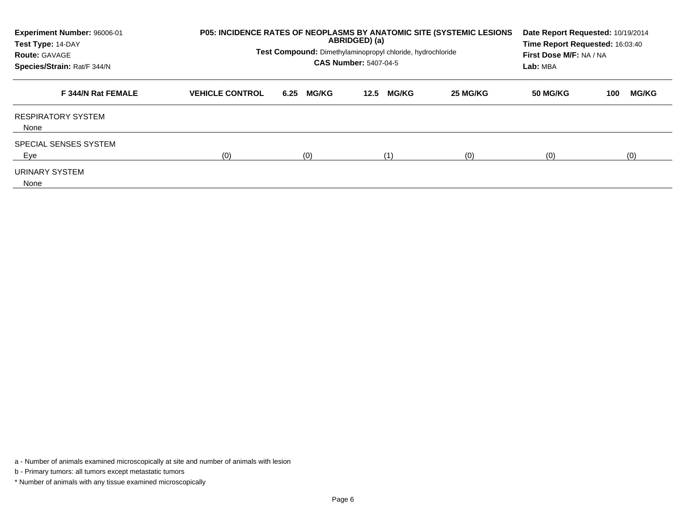| Experiment Number: 96006-01<br>Test Type: 14-DAY<br><b>Route: GAVAGE</b><br>Species/Strain: Rat/F 344/N | <b>P05: INCIDENCE RATES OF NEOPLASMS BY ANATOMIC SITE (SYSTEMIC LESIONS)</b><br>Test Compound: Dimethylaminopropyl chloride, hydrochloride | Date Report Requested: 10/19/2014<br>Time Report Requested: 16:03:40<br>First Dose M/F: NA / NA<br>Lab: MBA |                      |          |                 |                     |
|---------------------------------------------------------------------------------------------------------|--------------------------------------------------------------------------------------------------------------------------------------------|-------------------------------------------------------------------------------------------------------------|----------------------|----------|-----------------|---------------------|
| F 344/N Rat FEMALE                                                                                      | <b>VEHICLE CONTROL</b>                                                                                                                     | <b>MG/KG</b><br>6.25                                                                                        | <b>MG/KG</b><br>12.5 | 25 MG/KG | <b>50 MG/KG</b> | <b>MG/KG</b><br>100 |
| <b>RESPIRATORY SYSTEM</b><br>None                                                                       |                                                                                                                                            |                                                                                                             |                      |          |                 |                     |
| <b>SPECIAL SENSES SYSTEM</b><br>Eye                                                                     | (0)                                                                                                                                        | (0)                                                                                                         | (1)                  | (0)      | (0)             | (0)                 |
| URINARY SYSTEM<br>None                                                                                  |                                                                                                                                            |                                                                                                             |                      |          |                 |                     |

a - Number of animals examined microscopically at site and number of animals with lesion

b - Primary tumors: all tumors except metastatic tumors